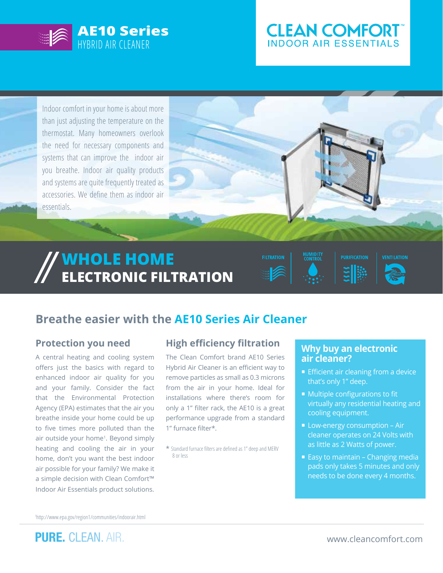

## **CLEAN COMFORT** INDOOR AIR ESSENTIALS

Indoor comfort in your home is about more than just adjusting the temperature on the thermostat. Many homeowners overlook the need for necessary components and systems that can improve the indoor air you breathe. Indoor air quality products and systems are quite frequently treated as accessories. We define them as indoor air essentials.

# **WHOLE HOME ELECTRONIC FILTRATION**



#### **Protection you need**

A central heating and cooling system offers just the basics with regard to enhanced indoor air quality for you and your family. Consider the fact that the Environmental Protection Agency (EPA) estimates that the air you breathe inside your home could be up to five times more polluted than the air outside your home<sup>1</sup>. Beyond simply heating and cooling the air in your home, don't you want the best indoor air possible for your family? We make it a simple decision with Clean Comfort™ Indoor Air Essentials product solutions.

#### **High efficiency filtration**

The Clean Comfort brand AE10 Series Hybrid Air Cleaner is an efficient way to remove particles as small as 0.3 microns from the air in your home. Ideal for installations where there's room for only a 1" filter rack, the AE10 is a great performance upgrade from a standard 1" furnace filter\*.

\* Standard furnace filters are defined as 1" deep and MERV 8 or less

### **Why buy an electronic air cleaner?**

**PURIFICATION** 

**VENTILATION** 

- **Efficient air cleaning from a device** that's only 1" deep.
- **Multiple configurations to fit** virtually any residential heating and cooling equipment.
- **Low-energy consumption Air** cleaner operates on 24 Volts with as little as 2 Watts of power.
- Easy to maintain Changing media pads only takes 5 minutes and only needs to be done every 4 months.

1 http://www.epa.gov/region1/communities/indoorair.html